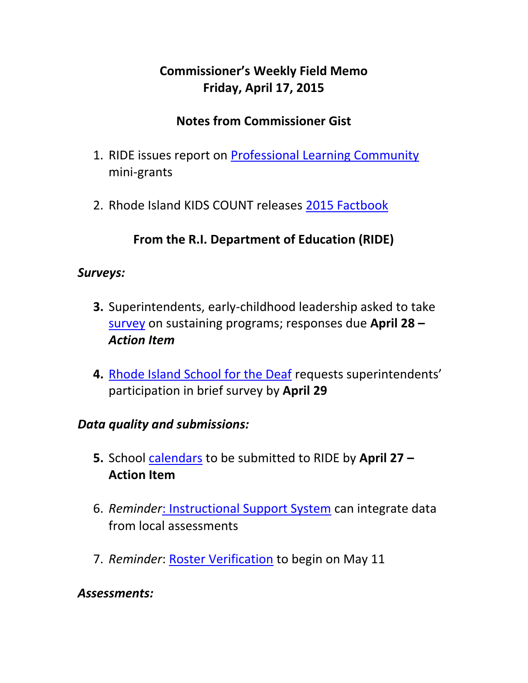# **Commissioner's Weekly Field Memo Friday, April 17, 2015**

## **Notes from Commissioner Gist**

- 1. RIDE issues report on [Professional Learning Community](#page-2-0) mini-grants
- 2. Rhode Island KIDS COUNT releases [2015 Factbook](#page-3-0)

## **From the R.I. Department of Education (RIDE)**

#### *Surveys:*

- **3.** Superintendents, early-childhood leadership asked to take [survey](#page-4-0) on sustaining programs; responses due **April 28 –** *Action Item*
- **4.** [Rhode Island School for the Deaf](#page-4-1) requests superintendents' participation in brief survey by **April 29**

#### *Data quality and submissions:*

- **5.** School [calendars](#page-4-2) to be submitted to RIDE by **April 27 – Action Item**
- 6. *Reminder*[: Instructional Support System](#page-5-0) can integrate data from local assessments
- 7. *Reminder*: [Roster Verification](#page-5-1) to begin on May 11

#### *Assessments:*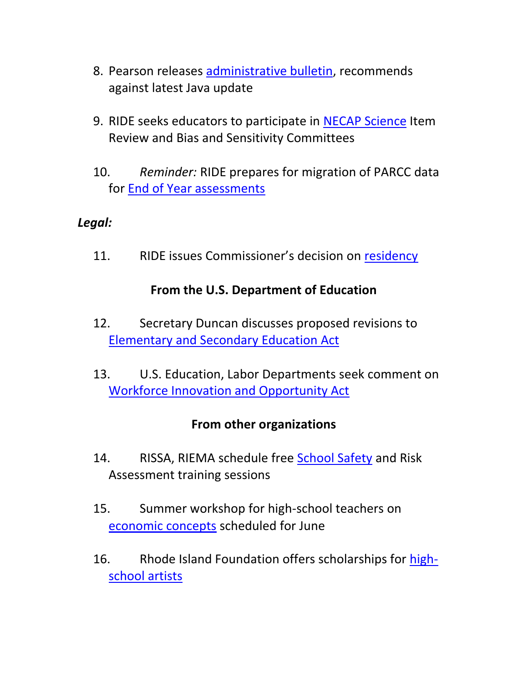- 8. Pearson releases [administrative bulletin,](#page-6-0) recommends against latest Java update
- 9. RIDE seeks educators to participate in [NECAP Science](#page-7-0) Item Review and Bias and Sensitivity Committees
- 10. *Reminder:* RIDE prepares for migration of PARCC data for [End of Year assessments](#page-7-0)

### *Legal:*

11. RIDE issues Commissioner's decision on [residency](#page-9-0)

### **From the U.S. Department of Education**

- 12. Secretary Duncan discusses proposed revisions to [Elementary and Secondary Education Act](#page-9-1)
- 13. U.S. Education, Labor Departments seek comment on [Workforce Innovation and Opportunity Act](#page-12-0)

### **From other organizations**

- 14. RISSA, RIEMA schedule free [School Safety](#page-15-0) and Risk Assessment training sessions
- 15. Summer workshop for high-school teachers on [economic concepts](#page-15-1) scheduled for June
- 16. Rhode Island Foundation offers scholarships for [high](#page-20-0)[school artists](#page-20-0)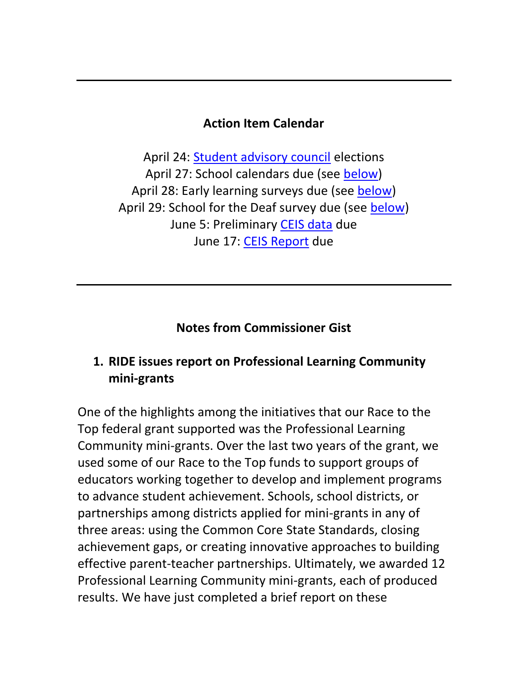#### **Action Item Calendar**

April 24: [Student advisory council](http://www.ride.ri.gov/Portals/0/Uploads/Documents/FieldMemos/032015-FM.pdf) elections April 27: School calendars due (see [below\)](#page-4-2) April 28: Early learning surveys due (see [below\)](#page-4-0) April 29: School for the Deaf survey due (see [below\)](#page-4-1) June 5: Preliminary [CEIS data](http://ride.ri.gov/Portals/0/Uploads/Documents/FieldMemos/040315-FM.pdf) due June 17: [CEIS Report](http://ride.ri.gov/Portals/0/Uploads/Documents/FieldMemos/040315-FM.pdf) due

#### **Notes from Commissioner Gist**

### <span id="page-2-0"></span>**1. RIDE issues report on Professional Learning Community mini-grants**

One of the highlights among the initiatives that our Race to the Top federal grant supported was the Professional Learning Community mini-grants. Over the last two years of the grant, we used some of our Race to the Top funds to support groups of educators working together to develop and implement programs to advance student achievement. Schools, school districts, or partnerships among districts applied for mini-grants in any of three areas: using the Common Core State Standards, closing achievement gaps, or creating innovative approaches to building effective parent-teacher partnerships. Ultimately, we awarded 12 Professional Learning Community mini-grants, each of produced results. We have just completed a brief report on these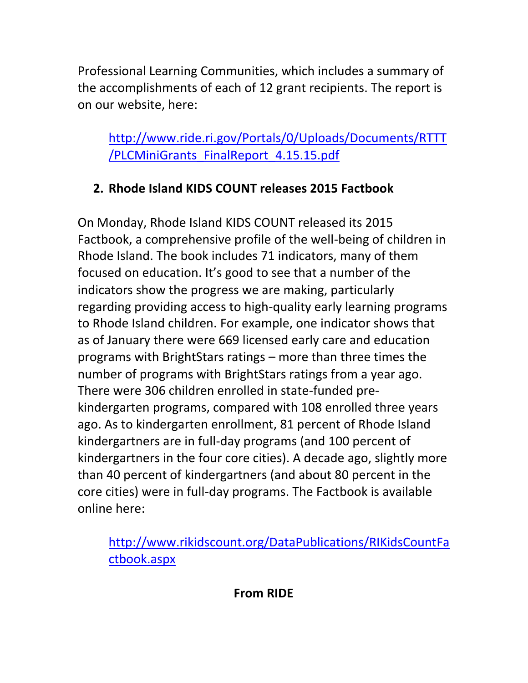Professional Learning Communities, which includes a summary of the accomplishments of each of 12 grant recipients. The report is on our website, here:

[http://www.ride.ri.gov/Portals/0/Uploads/Documents/RTTT](http://www.ride.ri.gov/Portals/0/Uploads/Documents/RTTT/PLCMiniGrants_FinalReport_4.15.15.pdf) [/PLCMiniGrants\\_FinalReport\\_4.15.15.pdf](http://www.ride.ri.gov/Portals/0/Uploads/Documents/RTTT/PLCMiniGrants_FinalReport_4.15.15.pdf)

# <span id="page-3-0"></span>**2. Rhode Island KIDS COUNT releases 2015 Factbook**

On Monday, Rhode Island KIDS COUNT released its 2015 Factbook, a comprehensive profile of the well-being of children in Rhode Island. The book includes 71 indicators, many of them focused on education. It's good to see that a number of the indicators show the progress we are making, particularly regarding providing access to high-quality early learning programs to Rhode Island children. For example, one indicator shows that as of January there were 669 licensed early care and education programs with BrightStars ratings – more than three times the number of programs with BrightStars ratings from a year ago. There were 306 children enrolled in state-funded prekindergarten programs, compared with 108 enrolled three years ago. As to kindergarten enrollment, 81 percent of Rhode Island kindergartners are in full-day programs (and 100 percent of kindergartners in the four core cities). A decade ago, slightly more than 40 percent of kindergartners (and about 80 percent in the core cities) were in full-day programs. The Factbook is available online here:

[http://www.rikidscount.org/DataPublications/RIKidsCountFa](http://www.rikidscount.org/DataPublications/RIKidsCountFactbook.aspx) [ctbook.aspx](http://www.rikidscount.org/DataPublications/RIKidsCountFactbook.aspx)

**From RIDE**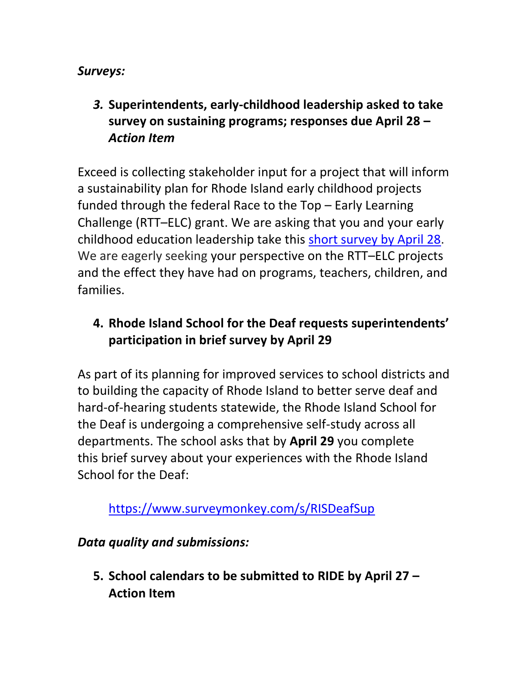### *Surveys:*

*3.* **Superintendents, early-childhood leadership asked to take survey on sustaining programs; responses due April 28 –** *Action Item* 

<span id="page-4-0"></span>Exceed is collecting stakeholder input for a project that will inform a sustainability plan for Rhode Island early childhood projects funded through the federal Race to the Top – Early Learning Challenge (RTT–ELC) grant. We are asking that you and your early childhood education leadership take this [short survey by April 28.](http://www.surveygizmo.com/s3/2078508/RI-Survey#_blank) We are eagerly seeking your perspective on the RTT–ELC projects and the effect they have had on programs, teachers, children, and families.

# <span id="page-4-1"></span>**4. Rhode Island School for the Deaf requests superintendents' participation in brief survey by April 29**

As part of its planning for improved services to school districts and to building the capacity of Rhode Island to better serve deaf and hard-of-hearing students statewide, the Rhode Island School for the Deaf is undergoing a comprehensive self-study across all departments. The school asks that by **April 29** you complete this brief survey about your experiences with the Rhode Island School for the Deaf:

<https://www.surveymonkey.com/s/RISDeafSup>

*Data quality and submissions:*

<span id="page-4-2"></span>**5. School calendars to be submitted to RIDE by April 27 – Action Item**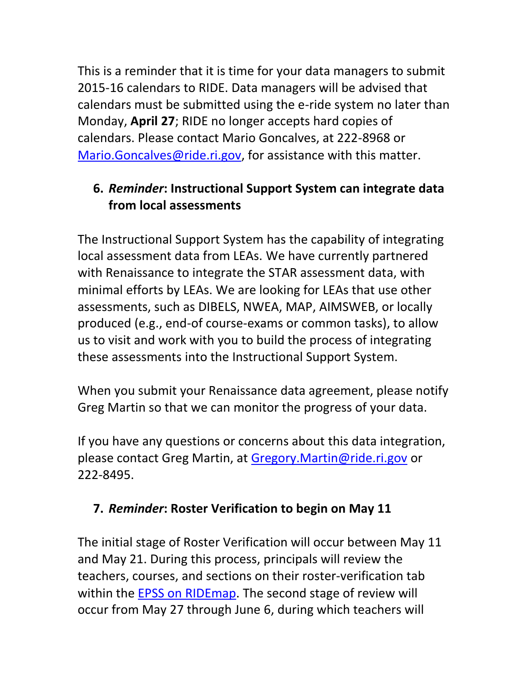This is a reminder that it is time for your data managers to submit 2015-16 calendars to RIDE. Data managers will be advised that calendars must be submitted using the e-ride system no later than Monday, **April 27**; RIDE no longer accepts hard copies of calendars. Please contact Mario Goncalves, at 222-8968 or [Mario.Goncalves@ride.ri.gov,](mailto:Mario.Goncalves@ride.ri.gov) for assistance with this matter.

# <span id="page-5-0"></span>**6.** *Reminder***: Instructional Support System can integrate data from local assessments**

The Instructional Support System has the capability of integrating local assessment data from LEAs. We have currently partnered with Renaissance to integrate the STAR assessment data, with minimal efforts by LEAs. We are looking for LEAs that use other assessments, such as DIBELS, NWEA, MAP, AIMSWEB, or locally produced (e.g., end-of course-exams or common tasks), to allow us to visit and work with you to build the process of integrating these assessments into the Instructional Support System.

When you submit your Renaissance data agreement, please notify Greg Martin so that we can monitor the progress of your data.

If you have any questions or concerns about this data integration, please contact Greg Martin, at [Gregory.Martin@ride.ri.gov](mailto:Gregory.Martin@ride.ri.gov) or 222-8495.

## <span id="page-5-1"></span>**7.** *Reminder***: Roster Verification to begin on May 11**

The initial stage of Roster Verification will occur between May 11 and May 21. During this process, principals will review the teachers, courses, and sections on their roster-verification tab within the EPSS on RIDE map. The second stage of review will occur from May 27 through June 6, during which teachers will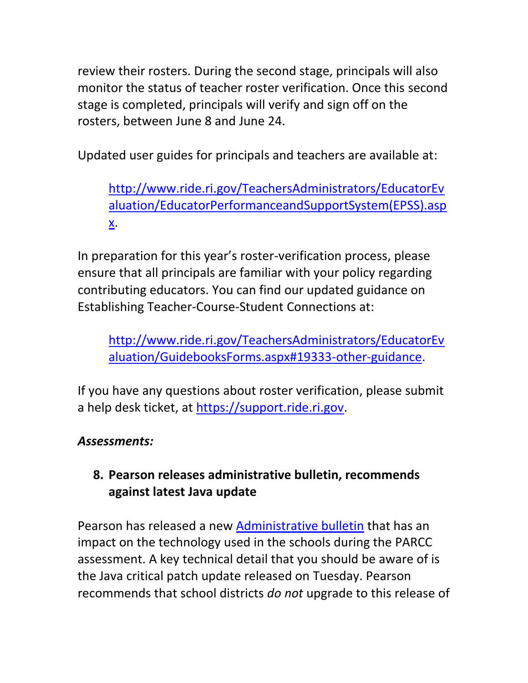review their rosters. During the second stage, principals will also monitor the status of teacher roster verification. Once this second stage is completed, principals will verify and sign off on the rosters, between June 8 and June 24.

Updated user guides for principals and teachers are available at:

[http://www.ride.ri.gov/TeachersAdministrators/EducatorEv](http://www.ride.ri.gov/TeachersAdministrators/EducatorEvaluation/EducatorPerformanceandSupportSystem(EPSS).aspx) [aluation/EducatorPerformanceandSupportSystem\(EPSS\).asp](http://www.ride.ri.gov/TeachersAdministrators/EducatorEvaluation/EducatorPerformanceandSupportSystem(EPSS).aspx) [x.](http://www.ride.ri.gov/TeachersAdministrators/EducatorEvaluation/EducatorPerformanceandSupportSystem(EPSS).aspx)

In preparation for this year's roster-verification process, please ensure that all principals are familiar with your policy regarding contributing educators. You can find our updated guidance on Establishing Teacher-Course-Student Connections at:

[http://www.ride.ri.gov/TeachersAdministrators/EducatorEv](http://www.ride.ri.gov/TeachersAdministrators/EducatorEvaluation/GuidebooksForms.aspx#19333-other-guidance) [aluation/GuidebooksForms.aspx#19333-other-guidance.](http://www.ride.ri.gov/TeachersAdministrators/EducatorEvaluation/GuidebooksForms.aspx#19333-other-guidance)

If you have any questions about roster verification, please submit a help desk ticket, at [https://support.ride.ri.gov.](https://support.ride.ri.gov/)

## *Assessments:*

## <span id="page-6-0"></span>**8. Pearson releases administrative bulletin, recommends against latest Java update**

Pearson has released a new [Administrative bulletin](http://parcc.pearson.com/bulletins/2015/04/14/parcc-administrative-bulletin.html) that has an impact on the technology used in the schools during the PARCC assessment. A key technical detail that you should be aware of is the Java critical patch update released on Tuesday. Pearson recommends that school districts *do not* upgrade to this release of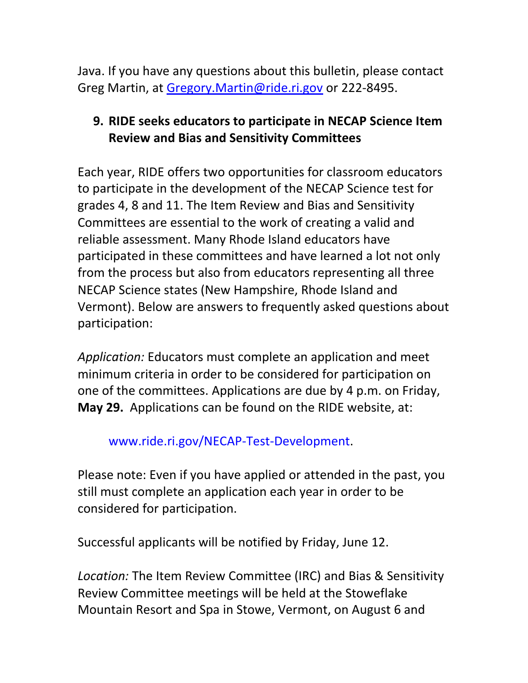Java. If you have any questions about this bulletin, please contact Greg Martin, at [Gregory.Martin@ride.ri.gov](mailto:Gregory.Martin@ride.ri.gov) or 222-8495.

## <span id="page-7-0"></span>**9. RIDE seeks educators to participate in NECAP Science Item Review and Bias and Sensitivity Committees**

Each year, RIDE offers two opportunities for classroom educators to participate in the development of the NECAP Science test for grades 4, 8 and 11. The Item Review and Bias and Sensitivity Committees are essential to the work of creating a valid and reliable assessment. Many Rhode Island educators have participated in these committees and have learned a lot not only from the process but also from educators representing all three NECAP Science states (New Hampshire, Rhode Island and Vermont). Below are answers to frequently asked questions about participation:

*Application:* Educators must complete an application and meet minimum criteria in order to be considered for participation on one of the committees. Applications are due by 4 p.m. on Friday, **May 29.** Applications can be found on the RIDE website, at:

### [www.ride.ri.gov/NECAP-Test-Development.](http://www.ride.ri.gov/NECAP-Test-Development)

Please note: Even if you have applied or attended in the past, you still must complete an application each year in order to be considered for participation.

Successful applicants will be notified by Friday, June 12.

*Location:* The Item Review Committee (IRC) and Bias & Sensitivity Review Committee meetings will be held at the Stoweflake Mountain Resort and Spa in Stowe, Vermont, on August 6 and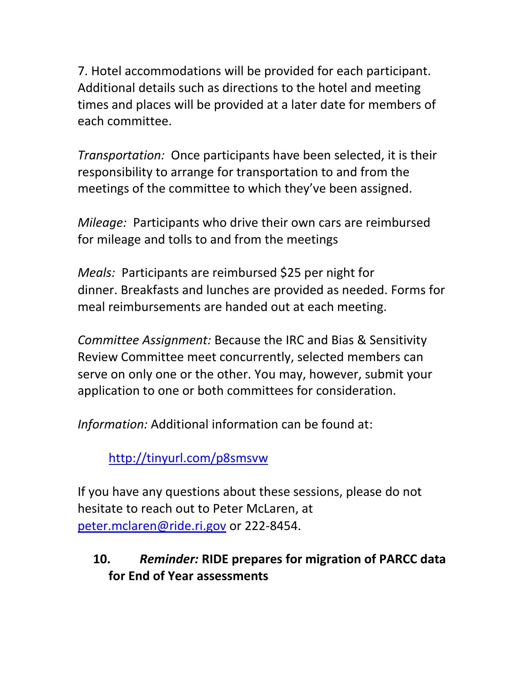7. Hotel accommodations will be provided for each participant. Additional details such as directions to the hotel and meeting times and places will be provided at a later date for members of each committee.

*Transportation:* Once participants have been selected, it is their responsibility to arrange for transportation to and from the meetings of the committee to which they've been assigned.

*Mileage:* Participants who drive their own cars are reimbursed for mileage and tolls to and from the meetings

*Meals:* Participants are reimbursed \$25 per night for dinner. Breakfasts and lunches are provided as needed. Forms for meal reimbursements are handed out at each meeting.

*Committee Assignment:* Because the IRC and Bias & Sensitivity Review Committee meet concurrently, selected members can serve on only one or the other. You may, however, submit your application to one or both committees for consideration.

*Information:* Additional information can be found at:

<http://tinyurl.com/p8smsvw>

If you have any questions about these sessions, please do not hesitate to reach out to Peter McLaren, at [peter.mclaren@ride.ri.gov](mailto:peter.mclaren@ride.ri.gov) or 222-8454.

# **10.** *Reminder:* **RIDE prepares for migration of PARCC data for End of Year assessments**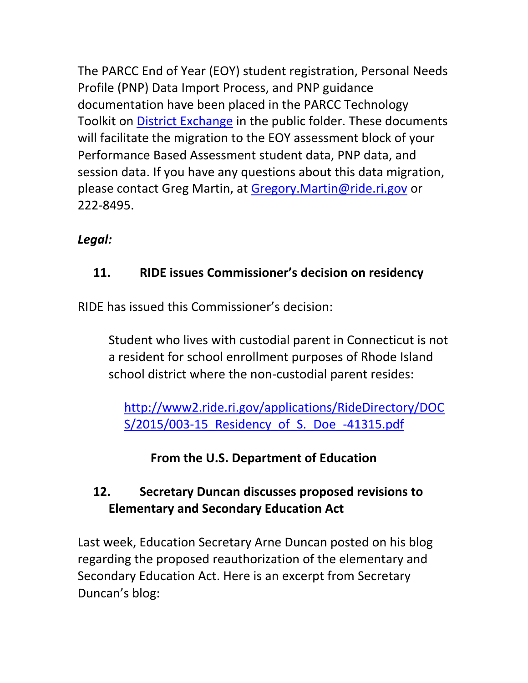The PARCC End of Year (EOY) student registration, Personal Needs Profile (PNP) Data Import Process, and PNP guidance documentation have been placed in the PARCC Technology Toolkit on [District Exchange](https://ridemap.ride.ri.gov/default.aspx) in the public folder. These documents will facilitate the migration to the EOY assessment block of your Performance Based Assessment student data, PNP data, and session data. If you have any questions about this data migration, please contact Greg Martin, at [Gregory.Martin@ride.ri.gov](mailto:Gregory.Martin@ride.ri.gov) or 222-8495.

# *Legal:*

# <span id="page-9-0"></span>**11. RIDE issues Commissioner's decision on residency**

RIDE has issued this Commissioner's decision:

Student who lives with custodial parent in Connecticut is not a resident for school enrollment purposes of Rhode Island school district where the non-custodial parent resides:

[http://www2.ride.ri.gov/applications/RideDirectory/DOC](http://www2.ride.ri.gov/applications/RideDirectory/DOCS/2015/003-15_Residency_of_S._Doe_-41315.pdf) S/2015/003-15 Residency of S. Doe -41315.pdf

# **From the U.S. Department of Education**

# <span id="page-9-1"></span>**12. Secretary Duncan discusses proposed revisions to Elementary and Secondary Education Act**

Last week, Education Secretary Arne Duncan posted on his blog regarding the proposed reauthorization of the elementary and Secondary Education Act. Here is an excerpt from Secretary Duncan's blog: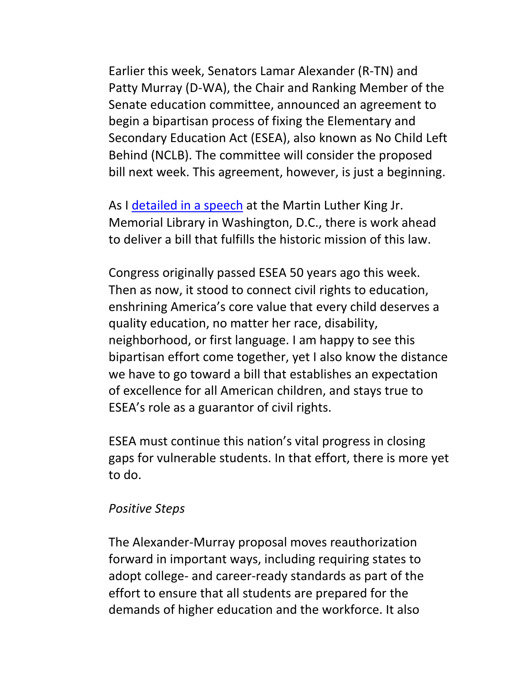Earlier this week, Senators Lamar Alexander (R-TN) and Patty Murray (D-WA), the Chair and Ranking Member of the Senate education committee, announced an agreement to begin a bipartisan process of fixing the Elementary and Secondary Education Act (ESEA), also known as No Child Left Behind (NCLB). The committee will consider the proposed bill next week. This agreement, however, is just a beginning.

As I [detailed in a speech](http://www.ed.gov/news/speeches/remarks-us-secretary-education-arne-duncan-50th-anniversary-congress-passing-elementary-and-secondary-education-act) at the Martin Luther King Jr. Memorial Library in Washington, D.C., there is work ahead to deliver a bill that fulfills the historic mission of this law.

Congress originally passed ESEA 50 years ago this week. Then as now, it stood to connect civil rights to education, enshrining America's core value that every child deserves a quality education, no matter her race, disability, neighborhood, or first language. I am happy to see this bipartisan effort come together, yet I also know the distance we have to go toward a bill that establishes an expectation of excellence for all American children, and stays true to ESEA's role as a guarantor of civil rights.

ESEA must continue this nation's vital progress in closing gaps for vulnerable students. In that effort, there is more yet to do.

#### *Positive Steps*

The Alexander-Murray proposal moves reauthorization forward in important ways, including requiring states to adopt college- and career-ready standards as part of the effort to ensure that all students are prepared for the demands of higher education and the workforce. It also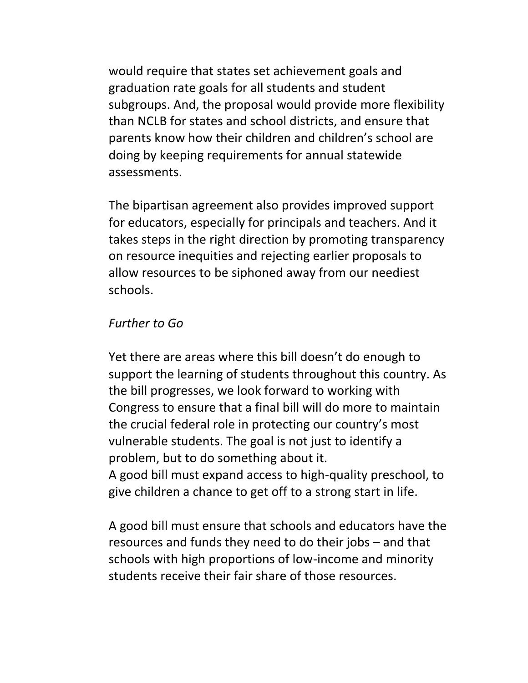would require that states set achievement goals and graduation rate goals for all students and student subgroups. And, the proposal would provide more flexibility than NCLB for states and school districts, and ensure that parents know how their children and children's school are doing by keeping requirements for annual statewide assessments.

The bipartisan agreement also provides improved support for educators, especially for principals and teachers. And it takes steps in the right direction by promoting transparency on resource inequities and rejecting earlier proposals to allow resources to be siphoned away from our neediest schools.

#### *Further to Go*

Yet there are areas where this bill doesn't do enough to support the learning of students throughout this country. As the bill progresses, we look forward to working with Congress to ensure that a final bill will do more to maintain the crucial federal role in protecting our country's most vulnerable students. The goal is not just to identify a problem, but to do something about it. A good bill must expand access to high-quality preschool, to give children a chance to get off to a strong start in life.

A good bill must ensure that schools and educators have the resources and funds they need to do their jobs – and that schools with high proportions of low-income and minority students receive their fair share of those resources.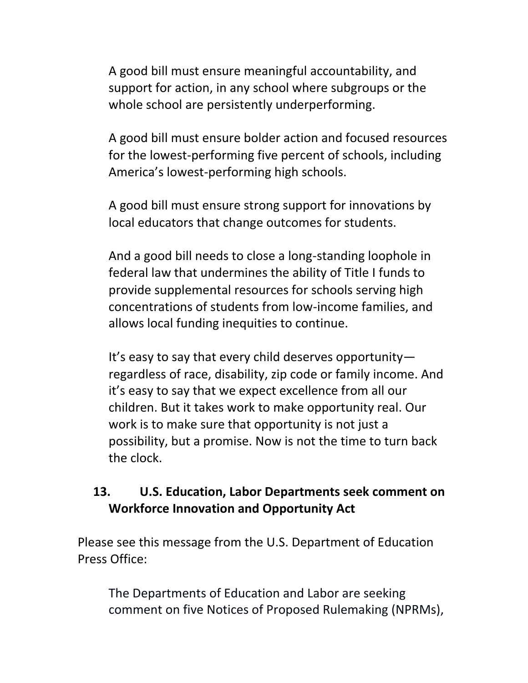A good bill must ensure meaningful accountability, and support for action, in any school where subgroups or the whole school are persistently underperforming.

A good bill must ensure bolder action and focused resources for the lowest-performing five percent of schools, including America's lowest-performing high schools.

A good bill must ensure strong support for innovations by local educators that change outcomes for students.

And a good bill needs to close a long-standing loophole in federal law that undermines the ability of Title I funds to provide supplemental resources for schools serving high concentrations of students from low-income families, and allows local funding inequities to continue.

It's easy to say that every child deserves opportunity regardless of race, disability, zip code or family income. And it's easy to say that we expect excellence from all our children. But it takes work to make opportunity real. Our work is to make sure that opportunity is not just a possibility, but a promise. Now is not the time to turn back the clock.

### <span id="page-12-0"></span>**13. U.S. Education, Labor Departments seek comment on Workforce Innovation and Opportunity Act**

Please see this message from the U.S. Department of Education Press Office:

The Departments of Education and Labor are seeking comment on five Notices of Proposed Rulemaking (NPRMs),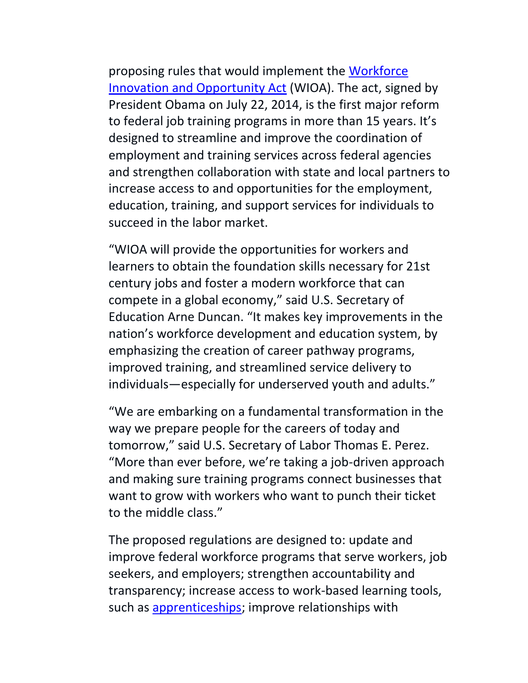proposing rules that would implement the [Workforce](http://doleta.gov/wioa/)  [Innovation and Opportunity Act](http://doleta.gov/wioa/) (WIOA). The act, signed by President Obama on July 22, 2014, is the first major reform to federal job training programs in more than 15 years. It's designed to streamline and improve the coordination of employment and training services across federal agencies and strengthen collaboration with state and local partners to increase access to and opportunities for the employment, education, training, and support services for individuals to succeed in the labor market.

"WIOA will provide the opportunities for workers and learners to obtain the foundation skills necessary for 21st century jobs and foster a modern workforce that can compete in a global economy," said U.S. Secretary of Education Arne Duncan. "It makes key improvements in the nation's workforce development and education system, by emphasizing the creation of career pathway programs, improved training, and streamlined service delivery to individuals—especially for underserved youth and adults."

"We are embarking on a fundamental transformation in the way we prepare people for the careers of today and tomorrow," said U.S. Secretary of Labor Thomas E. Perez. "More than ever before, we're taking a job-driven approach and making sure training programs connect businesses that want to grow with workers who want to punch their ticket to the middle class."

The proposed regulations are designed to: update and improve federal workforce programs that serve workers, job seekers, and employers; strengthen accountability and transparency; increase access to work-based learning tools, such as [apprenticeships;](http://www.dol.gov/apprenticeship/) improve relationships with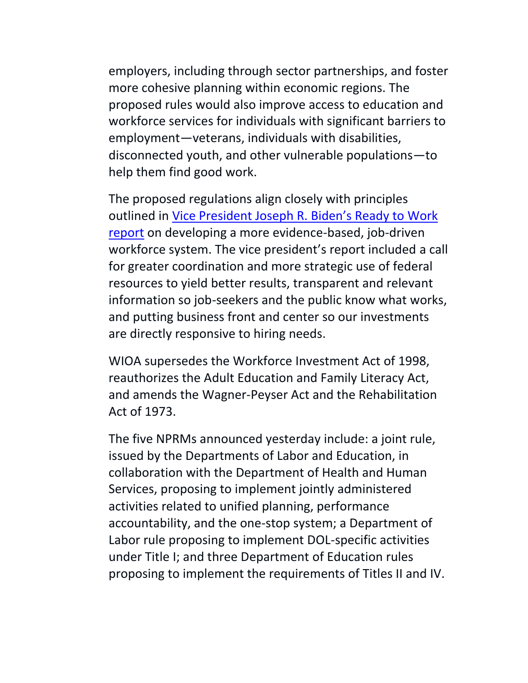employers, including through sector partnerships, and foster more cohesive planning within economic regions. The proposed rules would also improve access to education and workforce services for individuals with significant barriers to employment—veterans, individuals with disabilities, disconnected youth, and other vulnerable populations—to help them find good work.

The proposed regulations align closely with principles outlined in [Vice President Joseph R. Biden's Ready to Work](https://www.whitehouse.gov/sites/default/files/docs/skills_report.pdf)  [report](https://www.whitehouse.gov/sites/default/files/docs/skills_report.pdf) on developing a more evidence-based, job-driven workforce system. The vice president's report included a call for greater coordination and more strategic use of federal resources to yield better results, transparent and relevant information so job-seekers and the public know what works, and putting business front and center so our investments are directly responsive to hiring needs.

WIOA supersedes the Workforce Investment Act of 1998, reauthorizes the Adult Education and Family Literacy Act, and amends the Wagner-Peyser Act and the Rehabilitation Act of 1973.

The five NPRMs announced yesterday include: a joint rule, issued by the Departments of Labor and Education, in collaboration with the Department of Health and Human Services, proposing to implement jointly administered activities related to unified planning, performance accountability, and the one-stop system; a Department of Labor rule proposing to implement DOL-specific activities under Title I; and three Department of Education rules proposing to implement the requirements of Titles II and IV.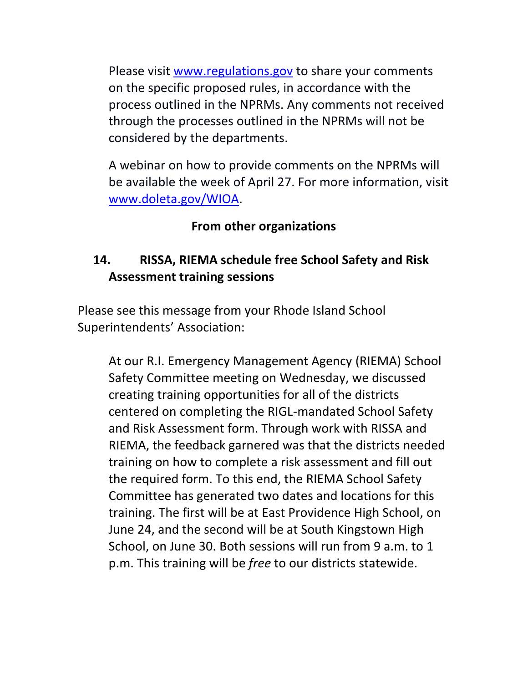Please visit [www.regulations.gov](http://www.regulations.gov/) to share your comments on the specific proposed rules, in accordance with the process outlined in the NPRMs. Any comments not received through the processes outlined in the NPRMs will not be considered by the departments.

A webinar on how to provide comments on the NPRMs will be available the week of April 27. For more information, visit [www.doleta.gov/WIOA.](http://www.doleta.gov/WIOA)

### **From other organizations**

## <span id="page-15-0"></span>**14. RISSA, RIEMA schedule free School Safety and Risk Assessment training sessions**

<span id="page-15-1"></span>Please see this message from your Rhode Island School Superintendents' Association:

At our R.I. Emergency Management Agency (RIEMA) School Safety Committee meeting on Wednesday, we discussed creating training opportunities for all of the districts centered on completing the RIGL-mandated School Safety and Risk Assessment form. Through work with RISSA and RIEMA, the feedback garnered was that the districts needed training on how to complete a risk assessment and fill out the required form. To this end, the RIEMA School Safety Committee has generated two dates and locations for this training. The first will be at East Providence High School, on June 24, and the second will be at South Kingstown High School, on June 30. Both sessions will run from 9 a.m. to 1 p.m. This training will be *free* to our districts statewide.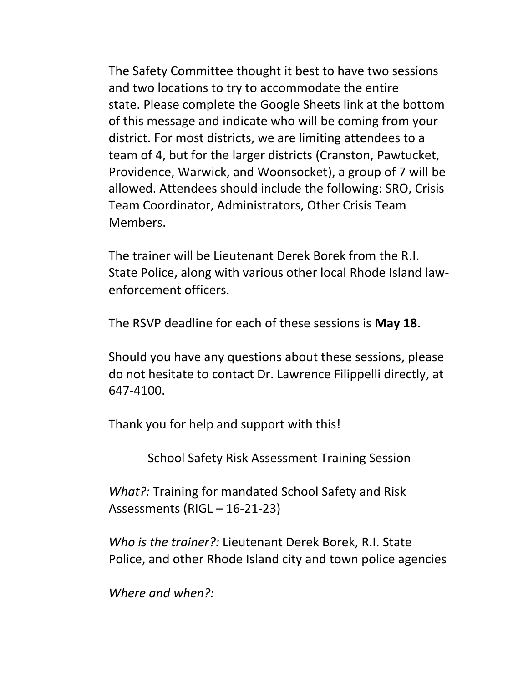The Safety Committee thought it best to have two sessions and two locations to try to accommodate the entire state. Please complete the Google Sheets link at the bottom of this message and indicate who will be coming from your district. For most districts, we are limiting attendees to a team of 4, but for the larger districts (Cranston, Pawtucket, Providence, Warwick, and Woonsocket), a group of 7 will be allowed. Attendees should include the following: SRO, Crisis Team Coordinator, Administrators, Other Crisis Team Members.

The trainer will be Lieutenant Derek Borek from the R.I. State Police, along with various other local Rhode Island lawenforcement officers.

The RSVP deadline for each of these sessions is **May 18**.

Should you have any questions about these sessions, please do not hesitate to contact Dr. Lawrence Filippelli directly, at 647-4100.

Thank you for help and support with this!

School Safety Risk Assessment Training Session

*What?:* Training for mandated School Safety and Risk Assessments (RIGL – 16-21-23)

*Who is the trainer?:* Lieutenant Derek Borek, R.I. State Police, and other Rhode Island city and town police agencies

*Where and when?:*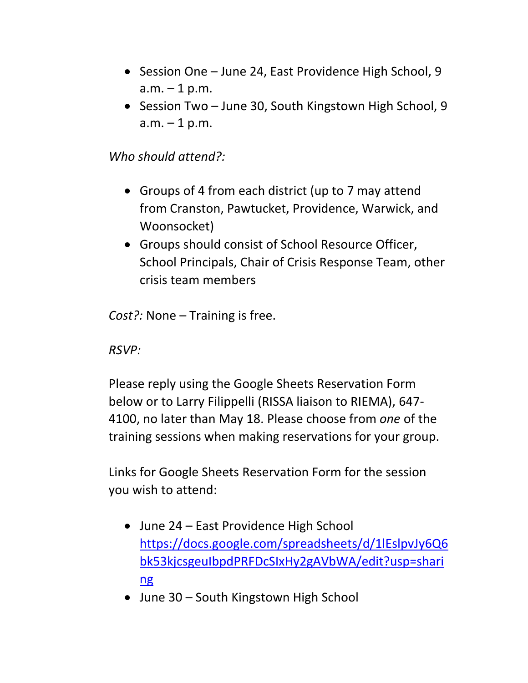- Session One June 24, East Providence High School, 9  $a.m. - 1 p.m.$
- Session Two June 30, South Kingstown High School, 9  $a.m. - 1 p.m.$

*Who should attend?:*

- Groups of 4 from each district (up to 7 may attend from Cranston, Pawtucket, Providence, Warwick, and Woonsocket)
- Groups should consist of School Resource Officer, School Principals, Chair of Crisis Response Team, other crisis team members

*Cost?:* None – Training is free.

*RSVP:*

Please reply using the Google Sheets Reservation Form below or to Larry Filippelli (RISSA liaison to RIEMA), 647- 4100, no later than May 18. Please choose from *one* of the training sessions when making reservations for your group.

Links for Google Sheets Reservation Form for the session you wish to attend:

- June 24 East Providence High School [https://docs.google.com/spreadsheets/d/1lEslpvJy6Q6](https://docs.google.com/spreadsheets/d/1lEslpvJy6Q6bk53kjcsgeuIbpdPRFDcSIxHy2gAVbWA/edit?usp=sharing) [bk53kjcsgeuIbpdPRFDcSIxHy2gAVbWA/edit?usp=shari](https://docs.google.com/spreadsheets/d/1lEslpvJy6Q6bk53kjcsgeuIbpdPRFDcSIxHy2gAVbWA/edit?usp=sharing) [ng](https://docs.google.com/spreadsheets/d/1lEslpvJy6Q6bk53kjcsgeuIbpdPRFDcSIxHy2gAVbWA/edit?usp=sharing)
- June 30 South Kingstown High School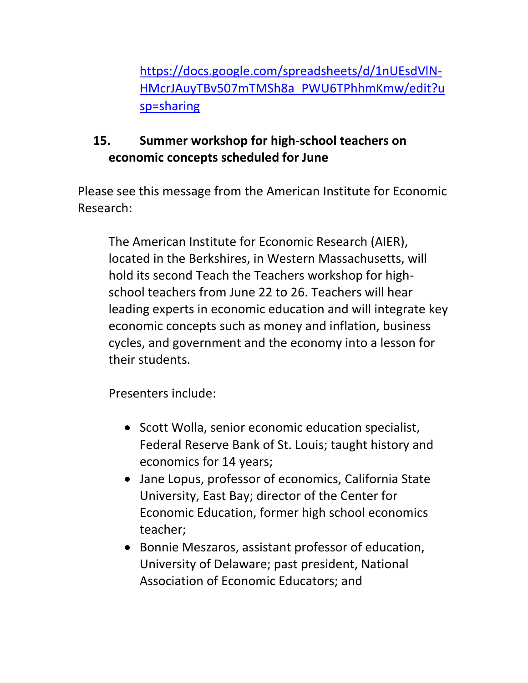[https://docs.google.com/spreadsheets/d/1nUEsdVlN-](https://docs.google.com/spreadsheets/d/1nUEsdVlN-HMcrJAuyTBv507mTMSh8a_PWU6TPhhmKmw/edit?usp=sharing)[HMcrJAuyTBv507mTMSh8a\\_PWU6TPhhmKmw/edit?u](https://docs.google.com/spreadsheets/d/1nUEsdVlN-HMcrJAuyTBv507mTMSh8a_PWU6TPhhmKmw/edit?usp=sharing) [sp=sharing](https://docs.google.com/spreadsheets/d/1nUEsdVlN-HMcrJAuyTBv507mTMSh8a_PWU6TPhhmKmw/edit?usp=sharing)

# **15. Summer workshop for high-school teachers on economic concepts scheduled for June**

Please see this message from the American Institute for Economic Research:

The American Institute for Economic Research (AIER), located in the Berkshires, in Western Massachusetts, will hold its second Teach the Teachers workshop for highschool teachers from June 22 to 26. Teachers will hear leading experts in economic education and will integrate key economic concepts such as money and inflation, business cycles, and government and the economy into a lesson for their students.

Presenters include:

- Scott Wolla, senior economic education specialist, Federal Reserve Bank of St. Louis; taught history and economics for 14 years;
- Jane Lopus, professor of economics, California State University, East Bay; director of the Center for Economic Education, former high school economics teacher;
- Bonnie Meszaros, assistant professor of education, University of Delaware; past president, National Association of Economic Educators; and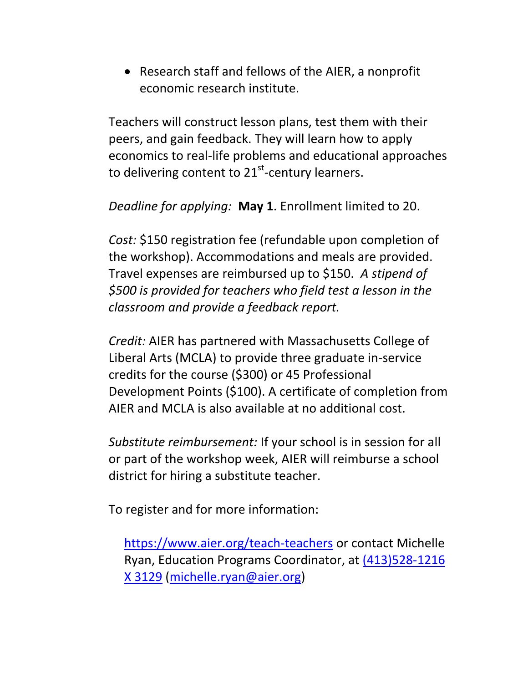Research staff and fellows of the AIER, a nonprofit economic research institute.

Teachers will construct lesson plans, test them with their peers, and gain feedback. They will learn how to apply economics to real-life problems and educational approaches to delivering content to 21<sup>st</sup>-century learners.

*Deadline for applying:* **May 1**. Enrollment limited to 20.

*Cost:* \$150 registration fee (refundable upon completion of the workshop). Accommodations and meals are provided. Travel expenses are reimbursed up to \$150. *A stipend of \$500 is provided for teachers who field test a lesson in the classroom and provide a feedback report.*

*Credit:* AIER has partnered with Massachusetts College of Liberal Arts (MCLA) to provide three graduate in-service credits for the course (\$300) or 45 Professional Development Points (\$100). A certificate of completion from AIER and MCLA is also available at no additional cost.

*Substitute reimbursement:* If your school is in session for all or part of the workshop week, AIER will reimburse a school district for hiring a substitute teacher.

To register and for more information:

<https://www.aier.org/teach-teachers> or contact Michelle Ryan, Education Programs Coordinator, at [\(413\)528-1216](tel:%28413%29528-1216%20X%203129)  [X 3129](tel:%28413%29528-1216%20X%203129) [\(michelle.ryan@aier.org\)](mailto:michelle.ryan@aier.org)